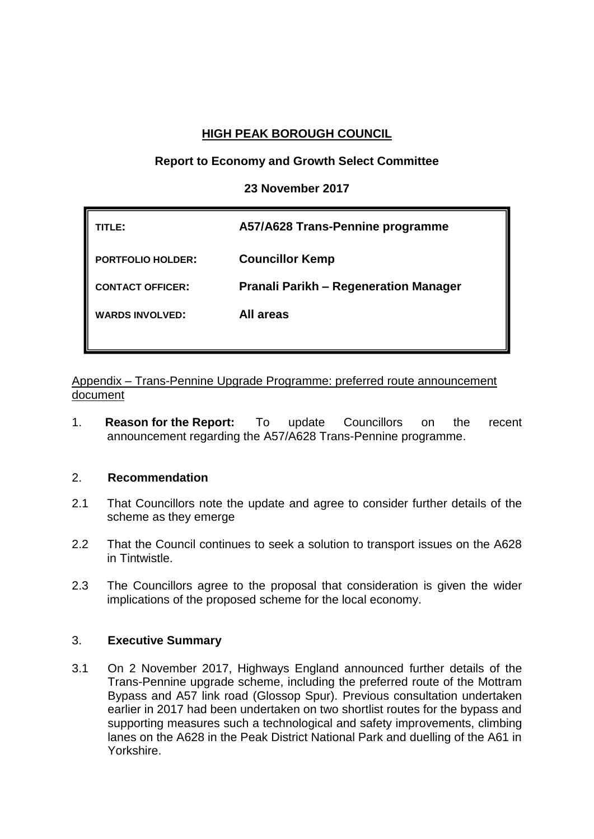# **HIGH PEAK BOROUGH COUNCIL**

## **Report to Economy and Growth Select Committee**

## **23 November 2017**

| TITLE:                   | A57/A628 Trans-Pennine programme             |
|--------------------------|----------------------------------------------|
| <b>PORTFOLIO HOLDER:</b> | <b>Councillor Kemp</b>                       |
| <b>CONTACT OFFICER:</b>  | <b>Pranali Parikh – Regeneration Manager</b> |
| <b>WARDS INVOLVED:</b>   | All areas                                    |
|                          |                                              |

Appendix – Trans-Pennine Upgrade Programme: preferred route announcement document

1. **Reason for the Report:** To update Councillors on the recent announcement regarding the A57/A628 Trans-Pennine programme.

## 2. **Recommendation**

- 2.1 That Councillors note the update and agree to consider further details of the scheme as they emerge
- 2.2 That the Council continues to seek a solution to transport issues on the A628 in Tintwistle.
- 2.3 The Councillors agree to the proposal that consideration is given the wider implications of the proposed scheme for the local economy.

## 3. **Executive Summary**

3.1 On 2 November 2017, Highways England announced further details of the Trans-Pennine upgrade scheme, including the preferred route of the Mottram Bypass and A57 link road (Glossop Spur). Previous consultation undertaken earlier in 2017 had been undertaken on two shortlist routes for the bypass and supporting measures such a technological and safety improvements, climbing lanes on the A628 in the Peak District National Park and duelling of the A61 in Yorkshire.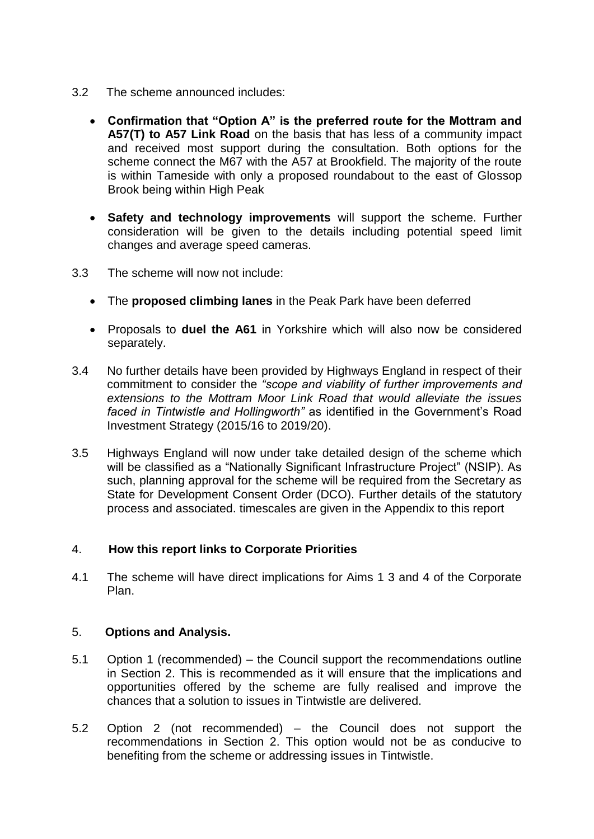- 3.2 The scheme announced includes:
	- **Confirmation that "Option A" is the preferred route for the Mottram and A57(T) to A57 Link Road** on the basis that has less of a community impact and received most support during the consultation. Both options for the scheme connect the M67 with the A57 at Brookfield. The majority of the route is within Tameside with only a proposed roundabout to the east of Glossop Brook being within High Peak
	- **Safety and technology improvements** will support the scheme. Further consideration will be given to the details including potential speed limit changes and average speed cameras.
- 3.3 The scheme will now not include:
	- The **proposed climbing lanes** in the Peak Park have been deferred
	- Proposals to **duel the A61** in Yorkshire which will also now be considered separately.
- 3.4 No further details have been provided by Highways England in respect of their commitment to consider the *"scope and viability of further improvements and extensions to the Mottram Moor Link Road that would alleviate the issues faced in Tintwistle and Hollingworth"* as identified in the Government's Road Investment Strategy (2015/16 to 2019/20).
- 3.5 Highways England will now under take detailed design of the scheme which will be classified as a "Nationally Significant Infrastructure Project" (NSIP). As such, planning approval for the scheme will be required from the Secretary as State for Development Consent Order (DCO). Further details of the statutory process and associated. timescales are given in the Appendix to this report

## 4. **How this report links to Corporate Priorities**

4.1 The scheme will have direct implications for Aims 1 3 and 4 of the Corporate Plan.

## 5. **Options and Analysis.**

- 5.1 Option 1 (recommended) the Council support the recommendations outline in Section 2. This is recommended as it will ensure that the implications and opportunities offered by the scheme are fully realised and improve the chances that a solution to issues in Tintwistle are delivered.
- 5.2 Option 2 (not recommended) the Council does not support the recommendations in Section 2. This option would not be as conducive to benefiting from the scheme or addressing issues in Tintwistle.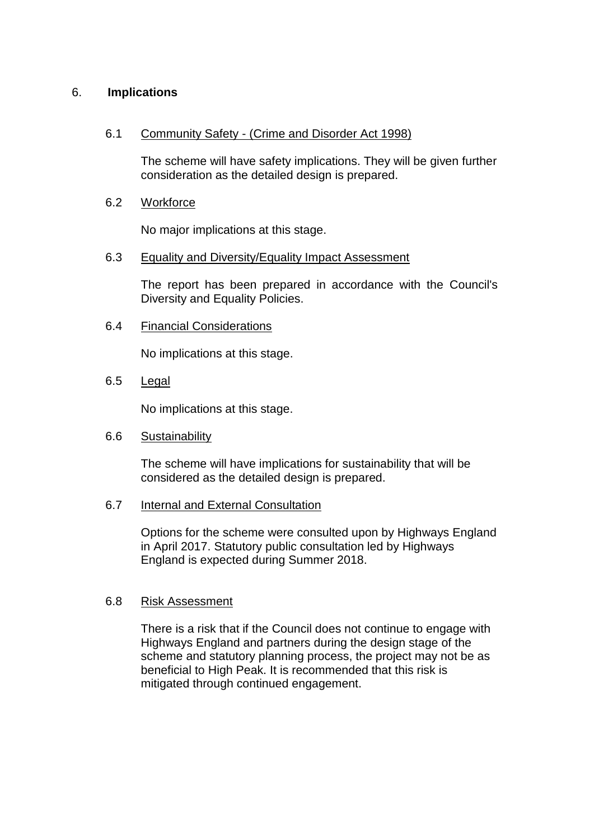## 6. **Implications**

#### 6.1 Community Safety - (Crime and Disorder Act 1998)

The scheme will have safety implications. They will be given further consideration as the detailed design is prepared.

## 6.2 Workforce

No major implications at this stage.

#### 6.3 Equality and Diversity/Equality Impact Assessment

The report has been prepared in accordance with the Council's Diversity and Equality Policies.

#### 6.4 Financial Considerations

No implications at this stage.

## 6.5 Legal

No implications at this stage.

#### 6.6 Sustainability

The scheme will have implications for sustainability that will be considered as the detailed design is prepared.

#### 6.7 Internal and External Consultation

Options for the scheme were consulted upon by Highways England in April 2017. Statutory public consultation led by Highways England is expected during Summer 2018.

#### 6.8 Risk Assessment

There is a risk that if the Council does not continue to engage with Highways England and partners during the design stage of the scheme and statutory planning process, the project may not be as beneficial to High Peak. It is recommended that this risk is mitigated through continued engagement.